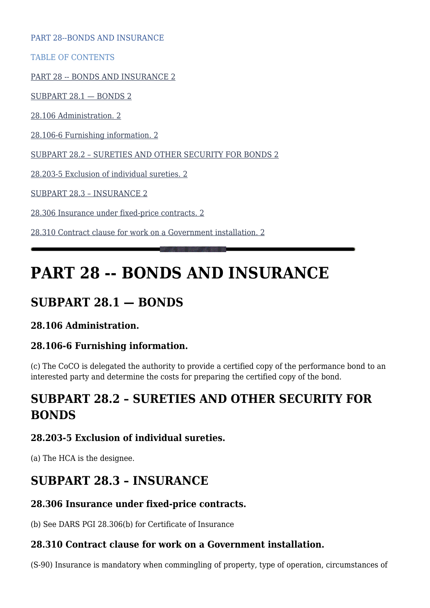PART 28--BONDS AND INSURANCE

TABLE OF CONTENTS

[PART 28 -- BONDS AND INSURANCE 2](#page--1-0)

[SUBPART 28.1 — BONDS 2](#page--1-0)

[28.106 Administration. 2](#page--1-0)

[28.106-6 Furnishing information. 2](#page--1-0)

[SUBPART 28.2 – SURETIES AND OTHER SECURITY FOR BONDS 2](#page--1-0)

[28.203-5 Exclusion of individual sureties. 2](#page--1-0)

[SUBPART 28.3 – INSURANCE 2](#page--1-0)

[28.306 Insurance under fixed-price contracts. 2](#page--1-0)

[28.310 Contract clause for work on a Government installation. 2](#page--1-0)

# **PART 28 -- BONDS AND INSURANCE**

## **SUBPART 28.1 — BONDS**

### **28.106 Administration.**

### **28.106-6 Furnishing information.**

(c) The CoCO is delegated the authority to provide a certified copy of the performance bond to an interested party and determine the costs for preparing the certified copy of the bond.

## **SUBPART 28.2 – SURETIES AND OTHER SECURITY FOR BONDS**

### **28.203-5 Exclusion of individual sureties.**

(a) The HCA is the designee.

### **SUBPART 28.3 – INSURANCE**

### **28.306 Insurance under fixed-price contracts.**

(b) See DARS PGI 28.306(b) for Certificate of Insurance

### **28.310 Contract clause for work on a Government installation.**

(S-90) Insurance is mandatory when commingling of property, type of operation, circumstances of